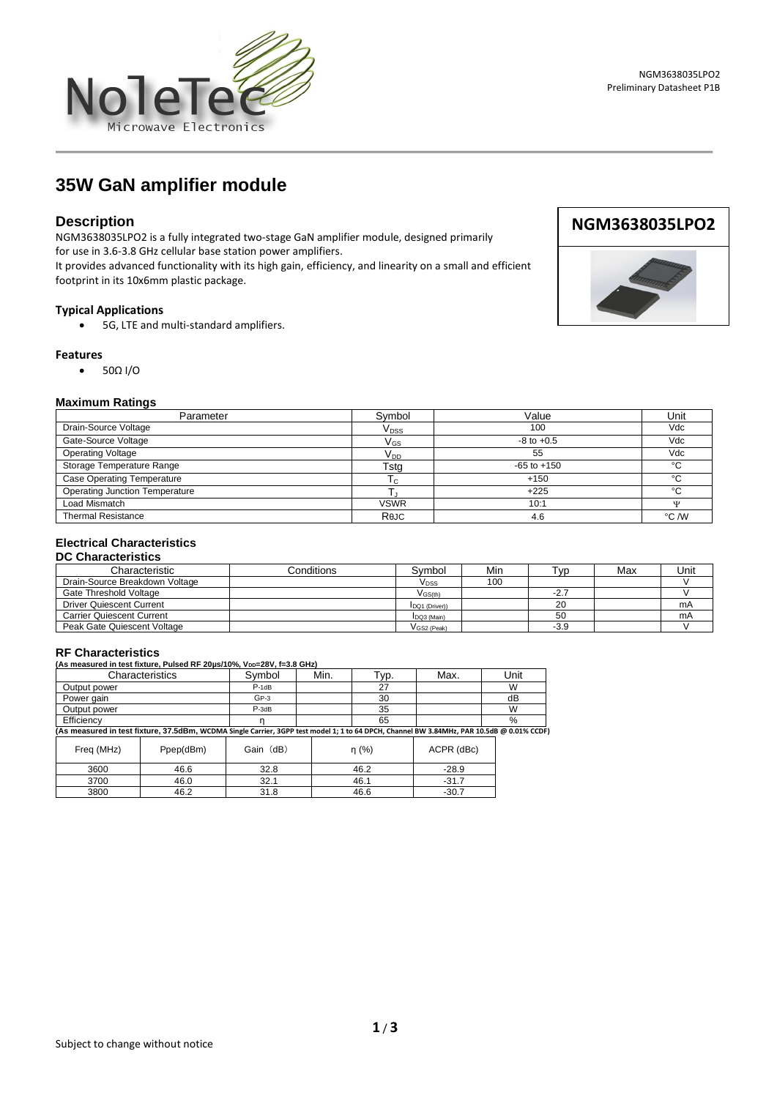

**35W GaN amplifier module** 

# **Description**

NGM3638035LPO2 is a fully integrated two-stage GaN amplifier module, designed primarily for use in 3.6-3.8 GHz cellular base station power amplifiers.

It provides advanced functionality with its high gain, efficiency, and linearity on a small and efficient footprint in its 10x6mm plastic package.

## **Typical Applications**

• 5G, LTE and multi-standard amplifiers.

#### **Features**

• 50Ω I/O

#### **Maximum Ratings**

| Parameter                             | Symbol                     | Value           | Unit   |
|---------------------------------------|----------------------------|-----------------|--------|
| Drain-Source Voltage                  | V <sub>DSS</sub>           | 100             | Vdc    |
| Gate-Source Voltage                   | $\mathsf{V}_{\mathsf{GS}}$ | $-8$ to $+0.5$  | Vdc    |
| <b>Operating Voltage</b>              | V <sub>DD</sub>            | 55              | Vdc    |
| Storage Temperature Range             | Tstg                       | $-65$ to $+150$ | $\sim$ |
| <b>Case Operating Temperature</b>     | I c                        | $+150$          | $\sim$ |
| <b>Operating Junction Temperature</b> |                            | $+225$          | $\sim$ |
| Load Mismatch                         | <b>VSWR</b>                | 10:1            | w      |
| <b>Thermal Resistance</b>             | ReJC                       | 4.6             | °C /W  |

# **Electrical Characteristics**

## **DC Characteristics**

| Characteristic                   | Conditions | Svmbol                | Min | Tvp.   | Max | Unit |
|----------------------------------|------------|-----------------------|-----|--------|-----|------|
| Drain-Source Breakdown Voltage   |            | V <sub>DSS</sub>      | 100 |        |     |      |
| Gate Threshold Voltage           |            | $V$ <sub>GS(th)</sub> |     | $-2.7$ |     |      |
| <b>Driver Quiescent Current</b>  |            | IDQ1 (Driver))        |     | 20     |     | mA   |
| <b>Carrier Quiescent Current</b> |            | DQ3 (Main)            |     | 50     |     | mA   |
| Peak Gate Quiescent Voltage      |            | VGS2 (Peak)           |     | $-3.9$ |     |      |

| <b>RF Characteristics</b>                                                                                                                  |         |      |      |      |      |
|--------------------------------------------------------------------------------------------------------------------------------------------|---------|------|------|------|------|
| (As measured in test fixture, Pulsed RF 20us/10%, V <sub>DD</sub> =28V, f=3.8 GHz)                                                         |         |      |      |      |      |
| Characteristics                                                                                                                            | Symbol  | Min. | ⊺vр. | Max. | Unit |
| Output power                                                                                                                               | $P-1dB$ |      | 27   |      | W    |
| Power gain                                                                                                                                 | $GP-3$  |      | 30   |      | dB   |
| Output power                                                                                                                               | $P-3dB$ |      | 35   |      | W    |
| Efficiency                                                                                                                                 |         |      | 65   |      | %    |
| (As measured in test fixture, 37.5dBm, WCDMA Single Carrier, 3GPP test model 1; 1 to 64 DPCH, Channel BW 3.84MHz, PAR 10.5dB @ 0.01% CCDF) |         |      |      |      |      |

| Freq (MHz) | Ppep(dBm) | Gain (dB) | n(%) | ACPR (dBc) |
|------------|-----------|-----------|------|------------|
| 3600       | 46.6      | 32.8      | 46.2 | $-28.9$    |
| 3700       | 46.0      | 32.1      | 46.1 | $-31.7$    |
| 3800       | 46.2      | 31.8      | 46.6 | $-30.7$    |



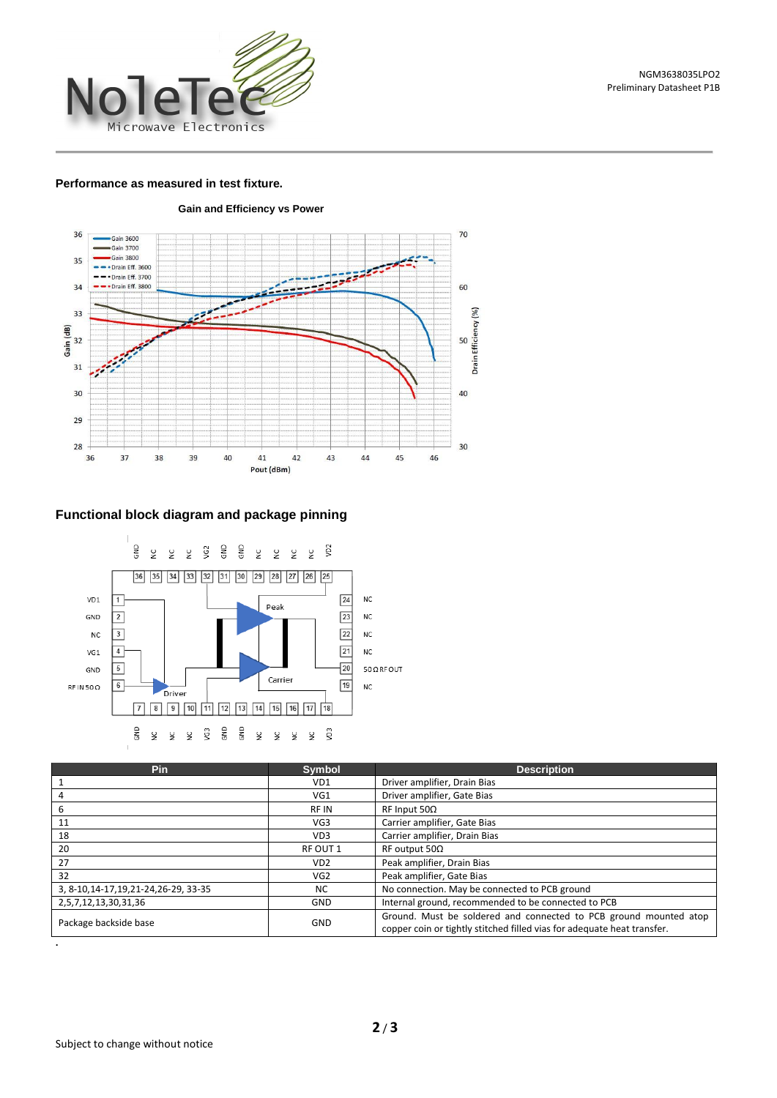

### **Performance as measured in test fixture.**



# **Functional block diagram and package pinning**



| Pin                                     | <b>Symbol</b>   | <b>Description</b>                                                                                                                           |  |
|-----------------------------------------|-----------------|----------------------------------------------------------------------------------------------------------------------------------------------|--|
|                                         | VD1             | Driver amplifier, Drain Bias                                                                                                                 |  |
|                                         | VG1             | Driver amplifier, Gate Bias                                                                                                                  |  |
| ь                                       | <b>RFIN</b>     | $RF$ Input 50 $\Omega$                                                                                                                       |  |
| 11                                      | VG3             | Carrier amplifier, Gate Bias                                                                                                                 |  |
| 18                                      | VD3             | Carrier amplifier, Drain Bias                                                                                                                |  |
| 20                                      | RF OUT 1        | RF output $50\Omega$                                                                                                                         |  |
| 27                                      | VD <sub>2</sub> | Peak amplifier, Drain Bias                                                                                                                   |  |
| 32                                      | VG <sub>2</sub> | Peak amplifier, Gate Bias                                                                                                                    |  |
| 3, 8-10, 14-17, 19, 21-24, 26-29, 33-35 | <b>NC</b>       | No connection. May be connected to PCB ground                                                                                                |  |
| 2,5,7,12,13,30,31,36                    | GND             | Internal ground, recommended to be connected to PCB                                                                                          |  |
| Package backside base                   | GND             | Ground. Must be soldered and connected to PCB ground mounted atop<br>copper coin or tightly stitched filled vias for adequate heat transfer. |  |

 **Gain and Efficiency vs Power**

**.**